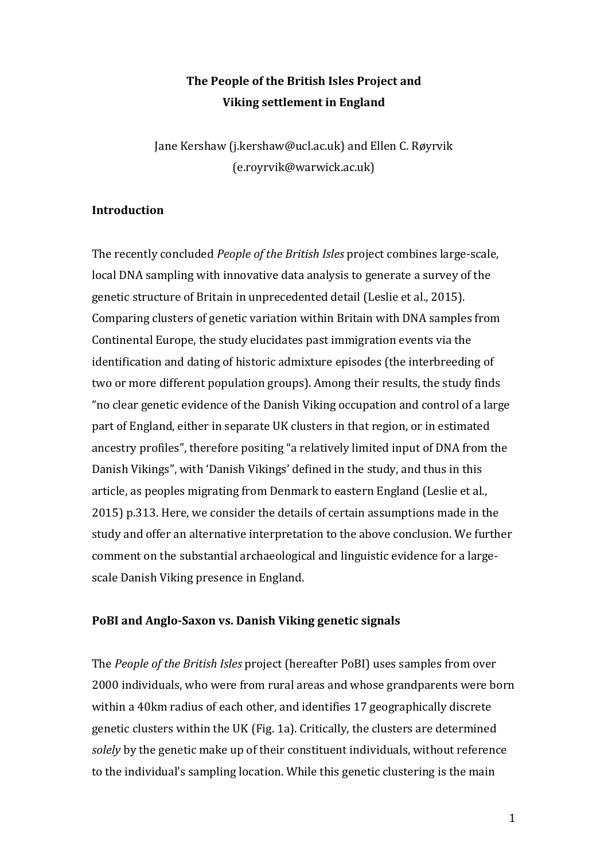# **The People of the British Isles Project and Viking settlement in England**

Jane Kershaw (j.kershaw@ucl.ac.uk) and Ellen C. Røyrvik (e.royrvik@warwick.ac.uk)

### **Introduction**

The recently concluded *People of the British Isles* project combines large-scale, local DNA sampling with innovative data analysis to generate a survey of the genetic structure of Britain in unprecedented detail [\(Leslie et al., 2015\)](#page-15-0). Comparing clusters of genetic variation within Britain with DNA samples from Continental Europe, the study elucidates past immigration events via the identification and dating of historic admixture episodes (the interbreeding of two or more different population groups). Among their results, the study finds "no clear genetic evidence of the Danish Viking occupation and control of a large part of England, either in separate UK clusters in that region, or in estimated ancestry profiles", therefore positing "a relatively limited input of DNA from the Danish Vikings", with 'Danish Vikings' defined in the study, and thus in this article, as peoples migrating from Denmark to eastern England [\(Leslie et al.,](#page-15-0)  [2015\)](#page-15-0) p.313. Here, we consider the details of certain assumptions made in the study and offer an alternative interpretation to the above conclusion. We further comment on the substantial archaeological and linguistic evidence for a largescale Danish Viking presence in England.

### **PoBI and Anglo-Saxon vs. Danish Viking genetic signals**

The *People of the British Isles* project (hereafter PoBI) uses samples from over 2000 individuals, who were from rural areas and whose grandparents were born within a 40km radius of each other, and identifies 17 geographically discrete genetic clusters within the UK (Fig. 1a). Critically, the clusters are determined *solely* by the genetic make up of their constituent individuals, without reference to the individual's sampling location. While this genetic clustering is the main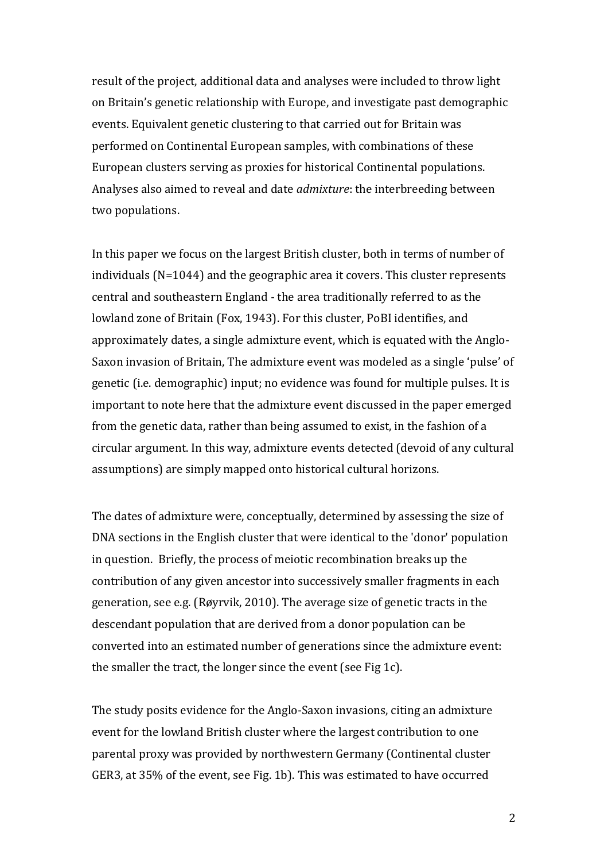result of the project, additional data and analyses were included to throw light on Britain's genetic relationship with Europe, and investigate past demographic events. Equivalent genetic clustering to that carried out for Britain was performed on Continental European samples, with combinations of these European clusters serving as proxies for historical Continental populations. Analyses also aimed to reveal and date *admixture*: the interbreeding between two populations.

In this paper we focus on the largest British cluster, both in terms of number of individuals (N=1044) and the geographic area it covers. This cluster represents central and southeastern England - the area traditionally referred to as the lowland zone of Britain [\(Fox, 1943\)](#page-15-1). For this cluster, PoBI identifies, and approximately dates, a single admixture event, which is equated with the Anglo-Saxon invasion of Britain, The admixture event was modeled as a single 'pulse' of genetic (i.e. demographic) input; no evidence was found for multiple pulses. It is important to note here that the admixture event discussed in the paper emerged from the genetic data, rather than being assumed to exist, in the fashion of a circular argument. In this way, admixture events detected (devoid of any cultural assumptions) are simply mapped onto historical cultural horizons.

The dates of admixture were, conceptually, determined by assessing the size of DNA sections in the English cluster that were identical to the 'donor' population in question. Briefly, the process of meiotic recombination breaks up the contribution of any given ancestor into successively smaller fragments in each generation, see e.g. [\(Røyrvik, 2010\)](#page-15-2). The average size of genetic tracts in the descendant population that are derived from a donor population can be converted into an estimated number of generations since the admixture event: the smaller the tract, the longer since the event (see Fig 1c).

The study posits evidence for the Anglo-Saxon invasions, citing an admixture event for the lowland British cluster where the largest contribution to one parental proxy was provided by northwestern Germany (Continental cluster GER3, at 35% of the event, see Fig. 1b). This was estimated to have occurred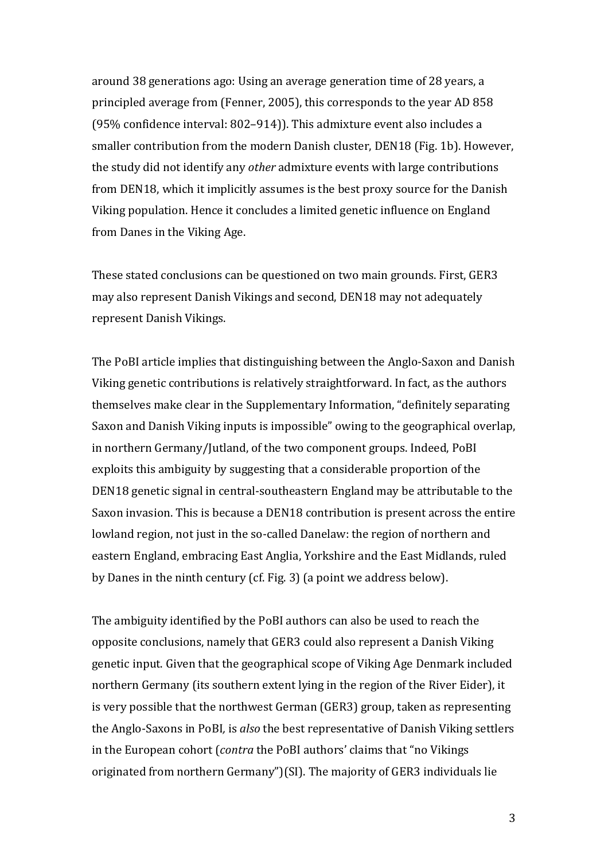around 38 generations ago: Using an average generation time of 28 years, a principled average from [\(Fenner, 2005\)](#page-14-0), this corresponds to the year AD 858 (95% confidence interval: 802–914)). This admixture event also includes a smaller contribution from the modern Danish cluster, DEN18 (Fig. 1b). However, the study did not identify any *other* admixture events with large contributions from DEN18, which it implicitly assumes is the best proxy source for the Danish Viking population. Hence it concludes a limited genetic influence on England from Danes in the Viking Age.

These stated conclusions can be questioned on two main grounds. First, GER3 may also represent Danish Vikings and second, DEN18 may not adequately represent Danish Vikings.

The PoBI article implies that distinguishing between the Anglo-Saxon and Danish Viking genetic contributions is relatively straightforward. In fact, as the authors themselves make clear in the Supplementary Information, "definitely separating Saxon and Danish Viking inputs is impossible" owing to the geographical overlap, in northern Germany/Jutland, of the two component groups. Indeed, PoBI exploits this ambiguity by suggesting that a considerable proportion of the DEN18 genetic signal in central-southeastern England may be attributable to the Saxon invasion. This is because a DEN18 contribution is present across the entire lowland region, not just in the so-called Danelaw: the region of northern and eastern England, embracing East Anglia, Yorkshire and the East Midlands, ruled by Danes in the ninth century (cf. Fig. 3) (a point we address below).

The ambiguity identified by the PoBI authors can also be used to reach the opposite conclusions, namely that GER3 could also represent a Danish Viking genetic input. Given that the geographical scope of Viking Age Denmark included northern Germany (its southern extent lying in the region of the River Eider), it is very possible that the northwest German (GER3) group, taken as representing the Anglo-Saxons in PoBI*,* is *also* the best representative of Danish Viking settlers in the European cohort (*contra* the PoBI authors' claims that "no Vikings originated from northern Germany")(SI). The majority of GER3 individuals lie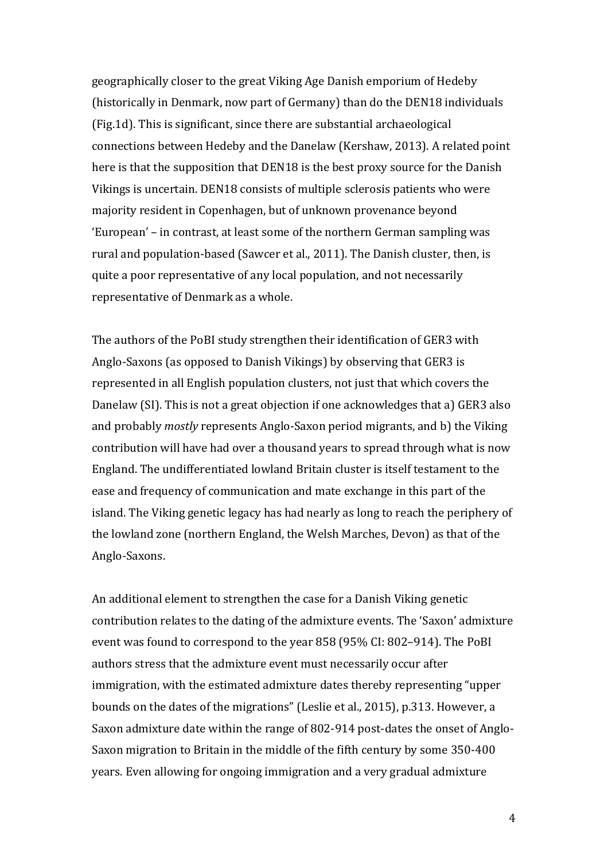geographically closer to the great Viking Age Danish emporium of Hedeby (historically in Denmark, now part of Germany) than do the DEN18 individuals (Fig.1d). This is significant, since there are substantial archaeological connections between Hedeby and the Danelaw [\(Kershaw, 2013\)](#page-15-3). A related point here is that the supposition that DEN18 is the best proxy source for the Danish Vikings is uncertain. DEN18 consists of multiple sclerosis patients who were majority resident in Copenhagen, but of unknown provenance beyond 'European' – in contrast, at least some of the northern German sampling was rural and population-based [\(Sawcer et al., 2011\)](#page-15-4). The Danish cluster, then, is quite a poor representative of any local population, and not necessarily representative of Denmark as a whole.

The authors of the PoBI study strengthen their identification of GER3 with Anglo-Saxons (as opposed to Danish Vikings) by observing that GER3 is represented in all English population clusters, not just that which covers the Danelaw (SI). This is not a great objection if one acknowledges that a) GER3 also and probably *mostly* represents Anglo-Saxon period migrants, and b) the Viking contribution will have had over a thousand years to spread through what is now England. The undifferentiated lowland Britain cluster is itself testament to the ease and frequency of communication and mate exchange in this part of the island. The Viking genetic legacy has had nearly as long to reach the periphery of the lowland zone (northern England, the Welsh Marches, Devon) as that of the Anglo-Saxons.

An additional element to strengthen the case for a Danish Viking genetic contribution relates to the dating of the admixture events. The 'Saxon' admixture event was found to correspond to the year 858 (95% CI: 802–914). The PoBI authors stress that the admixture event must necessarily occur after immigration, with the estimated admixture dates thereby representing "upper bounds on the dates of the migrations" [\(Leslie et al., 2015\)](#page-15-0), p.313. However, a Saxon admixture date within the range of 802-914 post-dates the onset of Anglo-Saxon migration to Britain in the middle of the fifth century by some 350-400 years. Even allowing for ongoing immigration and a very gradual admixture

4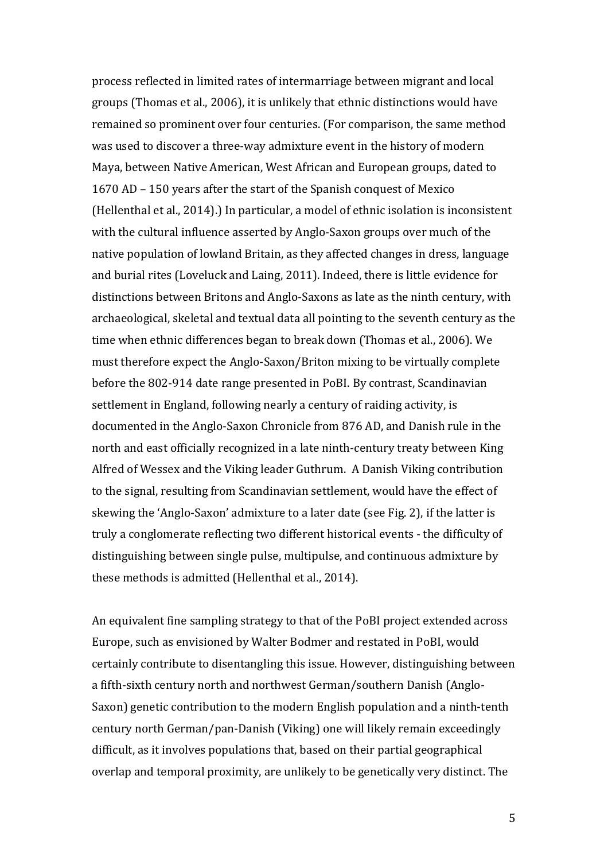process reflected in limited rates of intermarriage between migrant and local groups [\(Thomas et al., 2006\)](#page-15-5), it is unlikely that ethnic distinctions would have remained so prominent over four centuries. (For comparison, the same method was used to discover a three-way admixture event in the history of modern Maya, between Native American, West African and European groups, dated to 1670 AD – 150 years after the start of the Spanish conquest of Mexico [\(Hellenthal et al., 2014\)](#page-15-6).) In particular, a model of ethnic isolation is inconsistent with the cultural influence asserted by Anglo-Saxon groups over much of the native population of lowland Britain, as they affected changes in dress, language and burial rites [\(Loveluck and Laing, 2011\)](#page-15-7). Indeed, there is little evidence for distinctions between Britons and Anglo-Saxons as late as the ninth century, with archaeological, skeletal and textual data all pointing to the seventh century as the time when ethnic differences began to break down [\(Thomas et al., 2006\)](#page-15-5). We must therefore expect the Anglo-Saxon/Briton mixing to be virtually complete before the 802-914 date range presented in PoBI. By contrast, Scandinavian settlement in England, following nearly a century of raiding activity, is documented in the Anglo-Saxon Chronicle from 876 AD, and Danish rule in the north and east officially recognized in a late ninth-century treaty between King Alfred of Wessex and the Viking leader Guthrum. A Danish Viking contribution to the signal, resulting from Scandinavian settlement, would have the effect of skewing the 'Anglo-Saxon' admixture to a later date (see Fig. 2), if the latter is truly a conglomerate reflecting two different historical events - the difficulty of distinguishing between single pulse, multipulse, and continuous admixture by these methods is admitted [\(Hellenthal et al., 2014\)](#page-15-6).

An equivalent fine sampling strategy to that of the PoBI project extended across Europe, such as envisioned by Walter Bodmer and restated in PoBI, would certainly contribute to disentangling this issue. However, distinguishing between a fifth-sixth century north and northwest German/southern Danish (Anglo-Saxon) genetic contribution to the modern English population and a ninth-tenth century north German/pan-Danish (Viking) one will likely remain exceedingly difficult, as it involves populations that, based on their partial geographical overlap and temporal proximity, are unlikely to be genetically very distinct. The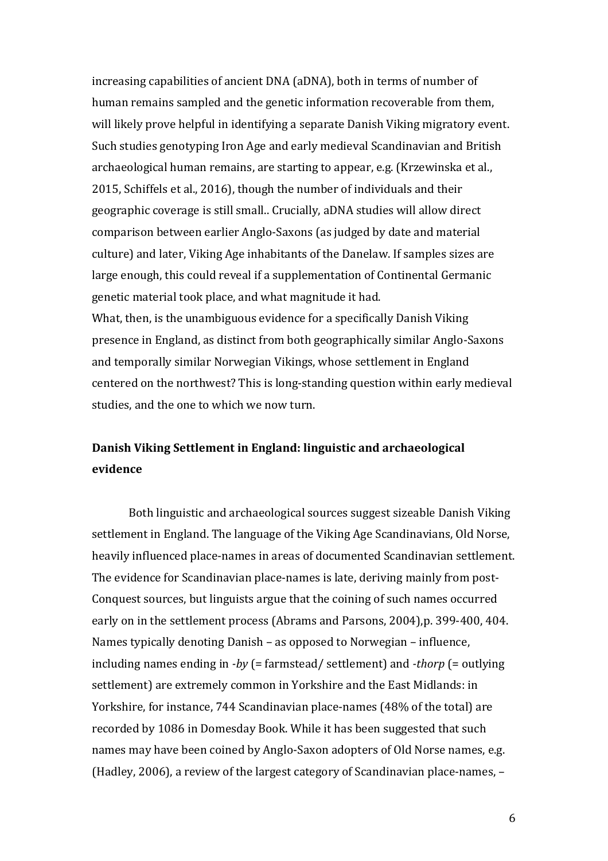increasing capabilities of ancient DNA (aDNA), both in terms of number of human remains sampled and the genetic information recoverable from them, will likely prove helpful in identifying a separate Danish Viking migratory event. Such studies genotyping Iron Age and early medieval Scandinavian and British archaeological human remains, are starting to appear, e.g. [\(Krzewinska et al.,](#page-15-8)  [2015,](#page-15-8) [Schiffels et al., 2016\)](#page-15-9), though the number of individuals and their geographic coverage is still small.. Crucially, aDNA studies will allow direct comparison between earlier Anglo-Saxons (as judged by date and material culture) and later, Viking Age inhabitants of the Danelaw. If samples sizes are large enough, this could reveal if a supplementation of Continental Germanic genetic material took place, and what magnitude it had.

What, then, is the unambiguous evidence for a specifically Danish Viking presence in England, as distinct from both geographically similar Anglo-Saxons and temporally similar Norwegian Vikings, whose settlement in England centered on the northwest? This is long-standing question within early medieval studies, and the one to which we now turn.

## **Danish Viking Settlement in England: linguistic and archaeological evidence**

Both linguistic and archaeological sources suggest sizeable Danish Viking settlement in England. The language of the Viking Age Scandinavians, Old Norse, heavily influenced place-names in areas of documented Scandinavian settlement. The evidence for Scandinavian place-names is late, deriving mainly from post-Conquest sources, but linguists argue that the coining of such names occurred early on in the settlement process [\(Abrams and Parsons, 2004\)](#page-14-1),p. 399-400, 404. Names typically denoting Danish – as opposed to Norwegian – influence, including names ending in *-by* (= farmstead/ settlement) and *-thorp* (= outlying settlement) are extremely common in Yorkshire and the East Midlands: in Yorkshire, for instance, 744 Scandinavian place-names (48% of the total) are recorded by 1086 in Domesday Book. While it has been suggested that such names may have been coined by Anglo-Saxon adopters of Old Norse names, e.g. [\(Hadley, 2006\)](#page-15-10), a review of the largest category of Scandinavian place-names, –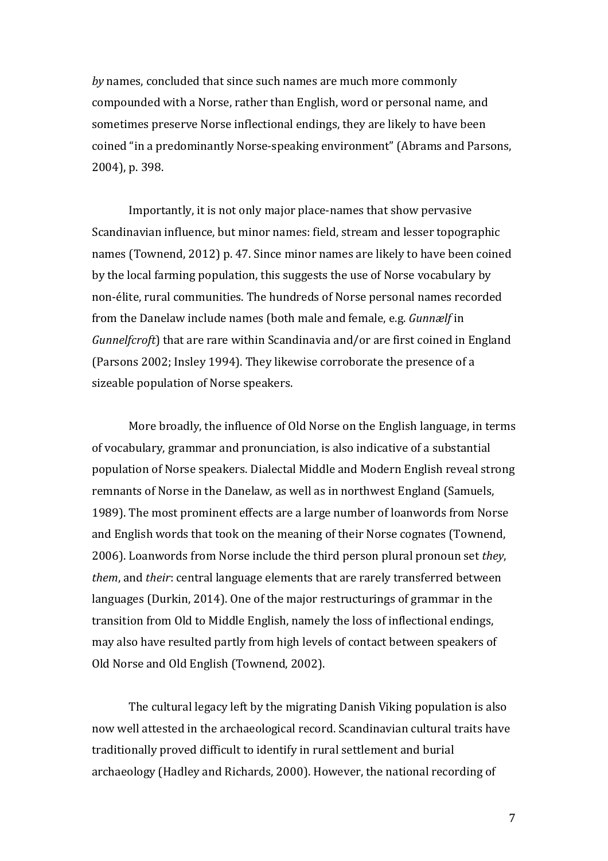*by* names, concluded that since such names are much more commonly compounded with a Norse, rather than English, word or personal name, and sometimes preserve Norse inflectional endings, they are likely to have been coined "in a predominantly Norse-speaking environment" [\(Abrams and Parsons,](#page-14-1)  [2004\)](#page-14-1), p. 398.

Importantly, it is not only major place-names that show pervasive Scandinavian influence, but minor names: field, stream and lesser topographic names [\(Townend, 2012\)](#page-16-0) p. 47. Since minor names are likely to have been coined by the local farming population, this suggests the use of Norse vocabulary by non-élite, rural communities. The hundreds of Norse personal names recorded from the Danelaw include names (both male and female, e.g. *Gunnælf* in *Gunnelfcroft*) that are rare within Scandinavia and/or are first coined in England [\(Parsons 2002;](#page-15-0) [Insley 1994\)](#page-15-11). They likewise corroborate the presence of a sizeable population of Norse speakers.

More broadly, the influence of Old Norse on the English language, in terms of vocabulary, grammar and pronunciation, is also indicative of a substantial population of Norse speakers. Dialectal Middle and Modern English reveal strong remnants of Norse in the Danelaw, as well as in northwest England [\(Samuels,](#page-15-12)  [1989\)](#page-15-12). The most prominent effects are a large number of loanwords from Norse and English words that took on the meaning of their Norse cognates [\(Townend,](#page-16-1)  [2006\)](#page-16-1). Loanwords from Norse include the third person plural pronoun set *they*, *them*, and *their*: central language elements that are rarely transferred between languages [\(Durkin, 2014\)](#page-14-2). One of the major restructurings of grammar in the transition from Old to Middle English, namely the loss of inflectional endings, may also have resulted partly from high levels of contact between speakers of Old Norse and Old English [\(Townend, 2002\)](#page-15-13).

The cultural legacy left by the migrating Danish Viking population is also now well attested in the archaeological record. Scandinavian cultural traits have traditionally proved difficult to identify in rural settlement and burial archaeology [\(Hadley and Richards, 2000\)](#page-15-14). However, the national recording of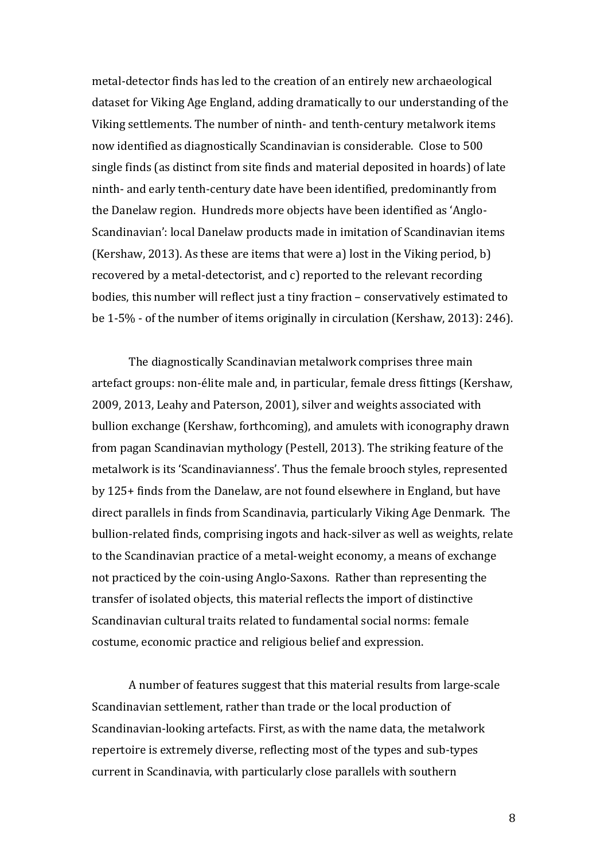metal-detector finds has led to the creation of an entirely new archaeological dataset for Viking Age England, adding dramatically to our understanding of the Viking settlements. The number of ninth- and tenth-century metalwork items now identified as diagnostically Scandinavian is considerable. Close to 500 single finds (as distinct from site finds and material deposited in hoards) of late ninth- and early tenth-century date have been identified, predominantly from the Danelaw region. Hundreds more objects have been identified as 'Anglo-Scandinavian': local Danelaw products made in imitation of Scandinavian items [\(Kershaw, 2013\)](#page-15-3). As these are items that were a) lost in the Viking period, b) recovered by a metal-detectorist, and c) reported to the relevant recording bodies, this number will reflect just a tiny fraction – conservatively estimated to be 1-5% - of the number of items originally in circulation [\(Kershaw, 2013\)](#page-15-3): 246).

The diagnostically Scandinavian metalwork comprises three main artefact groups: non-élite male and, in particular, female dress fittings [\(Kershaw,](#page-15-15)  [2009,](#page-15-15) [2013,](#page-15-3) [Leahy and Paterson, 2001\)](#page-15-16), silver and weights associated with bullion exchange [\(Kershaw, forthcoming\)](#page-15-17), and amulets with iconography drawn from pagan Scandinavian mythology [\(Pestell, 2013\)](#page-15-18). The striking feature of the metalwork is its 'Scandinavianness'. Thus the female brooch styles, represented by 125+ finds from the Danelaw, are not found elsewhere in England, but have direct parallels in finds from Scandinavia, particularly Viking Age Denmark. The bullion-related finds, comprising ingots and hack-silver as well as weights, relate to the Scandinavian practice of a metal-weight economy, a means of exchange not practiced by the coin-using Anglo-Saxons. Rather than representing the transfer of isolated objects, this material reflects the import of distinctive Scandinavian cultural traits related to fundamental social norms: female costume, economic practice and religious belief and expression.

A number of features suggest that this material results from large-scale Scandinavian settlement, rather than trade or the local production of Scandinavian-looking artefacts. First, as with the name data, the metalwork repertoire is extremely diverse, reflecting most of the types and sub-types current in Scandinavia, with particularly close parallels with southern

8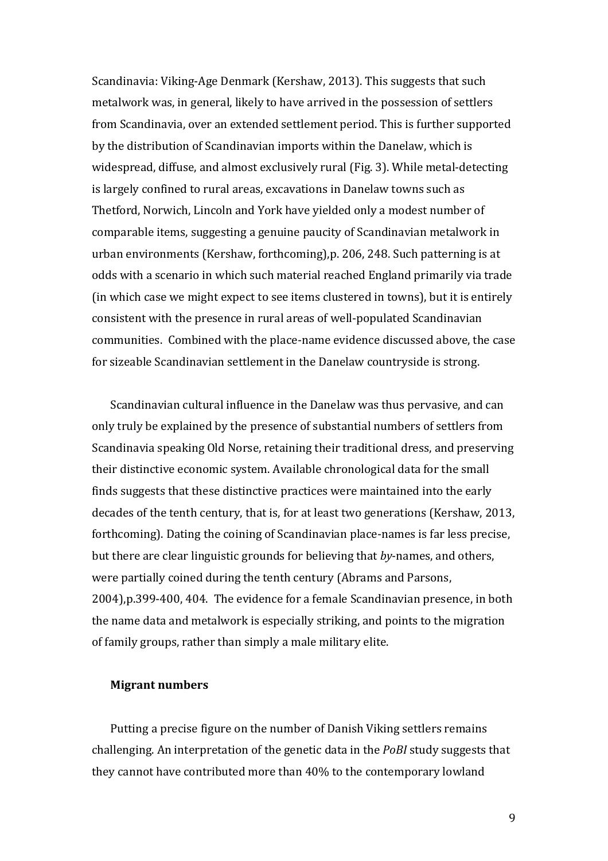Scandinavia: Viking-Age Denmark [\(Kershaw, 2013\)](#page-15-3). This suggests that such metalwork was, in general, likely to have arrived in the possession of settlers from Scandinavia, over an extended settlement period. This is further supported by the distribution of Scandinavian imports within the Danelaw, which is widespread, diffuse, and almost exclusively rural (Fig. 3). While metal-detecting is largely confined to rural areas, excavations in Danelaw towns such as Thetford, Norwich, Lincoln and York have yielded only a modest number of comparable items, suggesting a genuine paucity of Scandinavian metalwork in urban environments [\(Kershaw, forthcoming\)](#page-15-17),p. 206, 248. Such patterning is at odds with a scenario in which such material reached England primarily via trade (in which case we might expect to see items clustered in towns), but it is entirely consistent with the presence in rural areas of well-populated Scandinavian communities. Combined with the place-name evidence discussed above, the case for sizeable Scandinavian settlement in the Danelaw countryside is strong.

Scandinavian cultural influence in the Danelaw was thus pervasive, and can only truly be explained by the presence of substantial numbers of settlers from Scandinavia speaking Old Norse, retaining their traditional dress, and preserving their distinctive economic system. Available chronological data for the small finds suggests that these distinctive practices were maintained into the early decades of the tenth century, that is, for at least two generations [\(Kershaw, 2013,](#page-15-3)  [forthcoming\)](#page-15-17). Dating the coining of Scandinavian place-names is far less precise, but there are clear linguistic grounds for believing that *by*-names, and others, were partially coined during the tenth century [\(Abrams and Parsons,](#page-14-1)  [2004\)](#page-14-1),p.399-400, 404. The evidence for a female Scandinavian presence, in both the name data and metalwork is especially striking, and points to the migration of family groups, rather than simply a male military elite.

#### **Migrant numbers**

Putting a precise figure on the number of Danish Viking settlers remains challenging. An interpretation of the genetic data in the *PoBI* study suggests that they cannot have contributed more than 40% to the contemporary lowland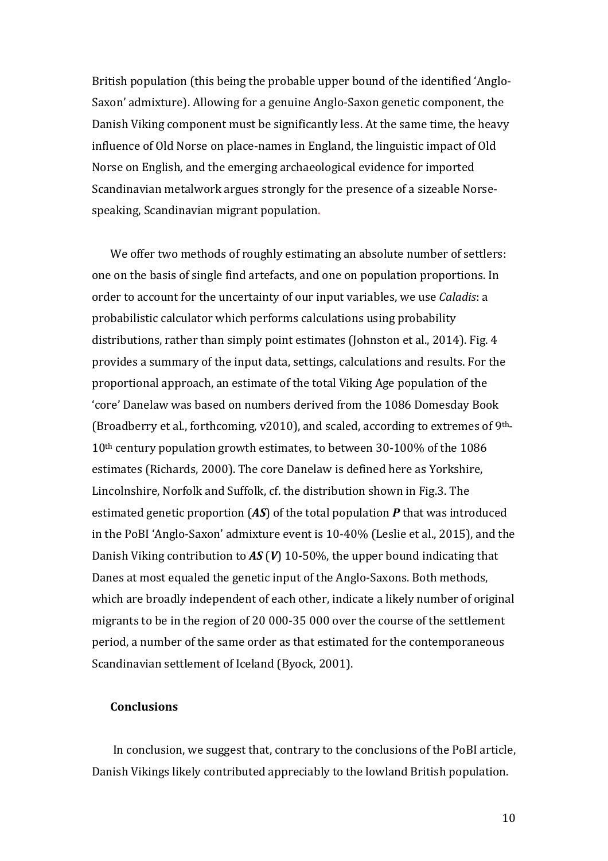British population (this being the probable upper bound of the identified 'Anglo-Saxon' admixture). Allowing for a genuine Anglo-Saxon genetic component, the Danish Viking component must be significantly less. At the same time, the heavy influence of Old Norse on place-names in England, the linguistic impact of Old Norse on English, and the emerging archaeological evidence for imported Scandinavian metalwork argues strongly for the presence of a sizeable Norsespeaking, Scandinavian migrant population.

We offer two methods of roughly estimating an absolute number of settlers: one on the basis of single find artefacts, and one on population proportions. In order to account for the uncertainty of our input variables, we use *Caladis*: a probabilistic calculator which performs calculations using probability distributions, rather than simply point estimates [\(Johnston et al., 2014\)](#page-15-11). Fig. 4 provides a summary of the input data, settings, calculations and results. For the proportional approach, an estimate of the total Viking Age population of the 'core' Danelaw was based on numbers derived from the 1086 Domesday Book [\(Broadberry et al., forthcoming, v2010\)](#page-14-3), and scaled, according to extremes of 9th-10th century population growth estimates, to between 30-100% of the 1086 estimates [\(Richards, 2000\)](#page-15-19). The core Danelaw is defined here as Yorkshire, Lincolnshire, Norfolk and Suffolk, cf. the distribution shown in Fig.3. The estimated genetic proportion (*AS*) of the total population *P* that was introduced in the PoBI 'Anglo-Saxon' admixture event is 10-40% [\(Leslie et al., 2015\)](#page-15-0), and the Danish Viking contribution to *AS* (*V*) 10-50%, the upper bound indicating that Danes at most equaled the genetic input of the Anglo-Saxons. Both methods, which are broadly independent of each other, indicate a likely number of original migrants to be in the region of 20 000-35 000 over the course of the settlement period, a number of the same order as that estimated for the contemporaneous Scandinavian settlement of Iceland [\(Byock, 2001\)](#page-14-4).

### **Conclusions**

In conclusion, we suggest that, contrary to the conclusions of the PoBI article, Danish Vikings likely contributed appreciably to the lowland British population.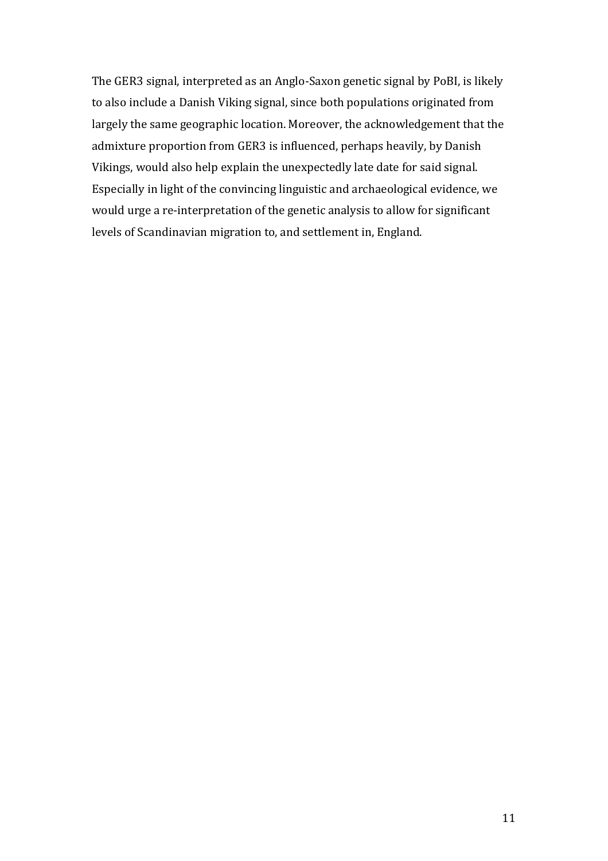The GER3 signal, interpreted as an Anglo-Saxon genetic signal by PoBI, is likely to also include a Danish Viking signal, since both populations originated from largely the same geographic location. Moreover, the acknowledgement that the admixture proportion from GER3 is influenced, perhaps heavily, by Danish Vikings, would also help explain the unexpectedly late date for said signal. Especially in light of the convincing linguistic and archaeological evidence, we would urge a re-interpretation of the genetic analysis to allow for significant levels of Scandinavian migration to, and settlement in, England.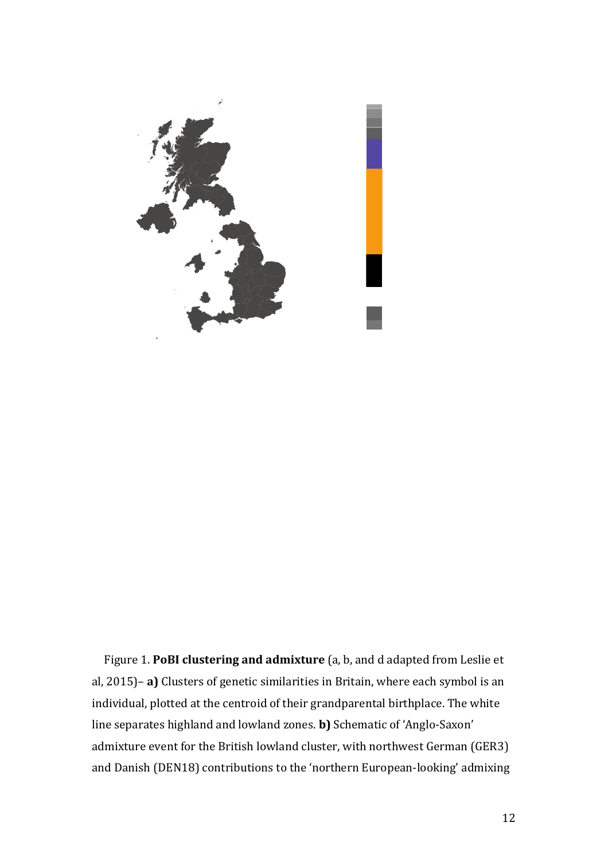

Figure 1. **PoBI clustering and admixture** (a, b, and d adapted from Leslie et al, 2015)– **a)** Clusters of genetic similarities in Britain, where each symbol is an individual, plotted at the centroid of their grandparental birthplace. The white line separates highland and lowland zones. **b)** Schematic of 'Anglo-Saxon' admixture event for the British lowland cluster, with northwest German (GER3) and Danish (DEN18) contributions to the 'northern European-looking' admixing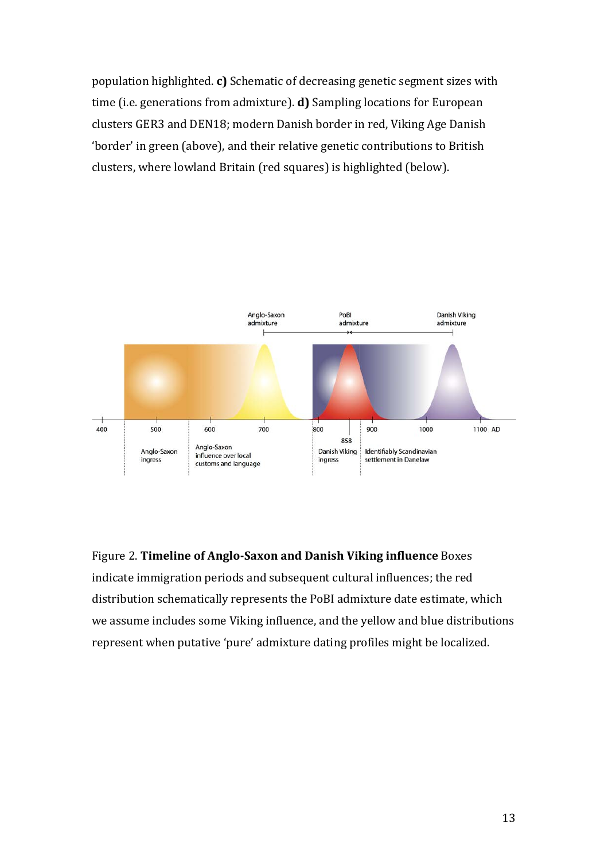population highlighted. **c)** Schematic of decreasing genetic segment sizes with time (i.e. generations from admixture). **d)** Sampling locations for European clusters GER3 and DEN18; modern Danish border in red, Viking Age Danish 'border' in green (above), and their relative genetic contributions to British clusters, where lowland Britain (red squares) is highlighted (below).



Figure 2. **Timeline of Anglo-Saxon and Danish Viking influence** Boxes indicate immigration periods and subsequent cultural influences; the red distribution schematically represents the PoBI admixture date estimate, which we assume includes some Viking influence, and the yellow and blue distributions represent when putative 'pure' admixture dating profiles might be localized.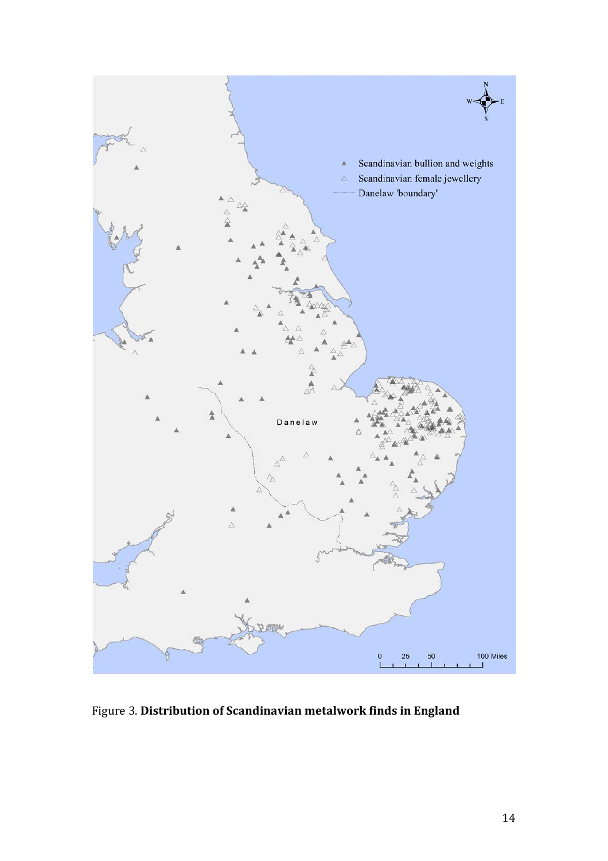

Figure 3. **Distribution of Scandinavian metalwork finds in England**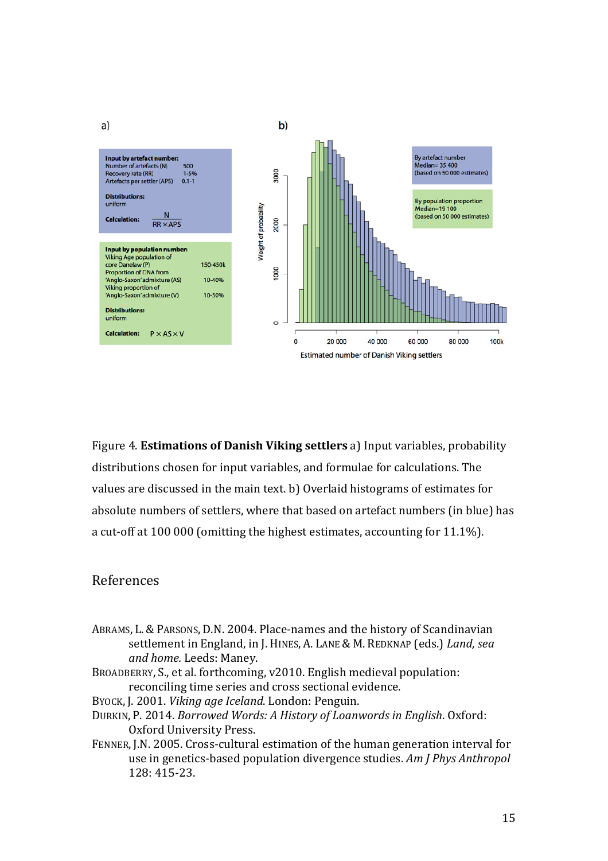

Figure 4. **Estimations of Danish Viking settlers** a) Input variables, probability distributions chosen for input variables, and formulae for calculations. The values are discussed in the main text. b) Overlaid histograms of estimates for absolute numbers of settlers, where that based on artefact numbers (in blue) has a cut-off at 100 000 (omitting the highest estimates, accounting for 11.1%).

### References

- <span id="page-14-1"></span>ABRAMS, L. & PARSONS, D.N. 2004. Place-names and the history of Scandinavian settlement in England, in J. HINES, A. LANE & M. REDKNAP (eds.) *Land, sea and home.* Leeds: Maney.
- <span id="page-14-3"></span>BROADBERRY, S., et al. forthcoming, v2010. English medieval population: reconciling time series and cross sectional evidence.
- <span id="page-14-4"></span>BYOCK, J. 2001. *Viking age Iceland*. London: Penguin.
- <span id="page-14-2"></span>DURKIN, P. 2014. *Borrowed Words: A History of Loanwords in English*. Oxford: Oxford University Press.
- <span id="page-14-0"></span>FENNER, J.N. 2005. Cross-cultural estimation of the human generation interval for use in genetics-based population divergence studies. *Am J Phys Anthropol* 128: 415-23.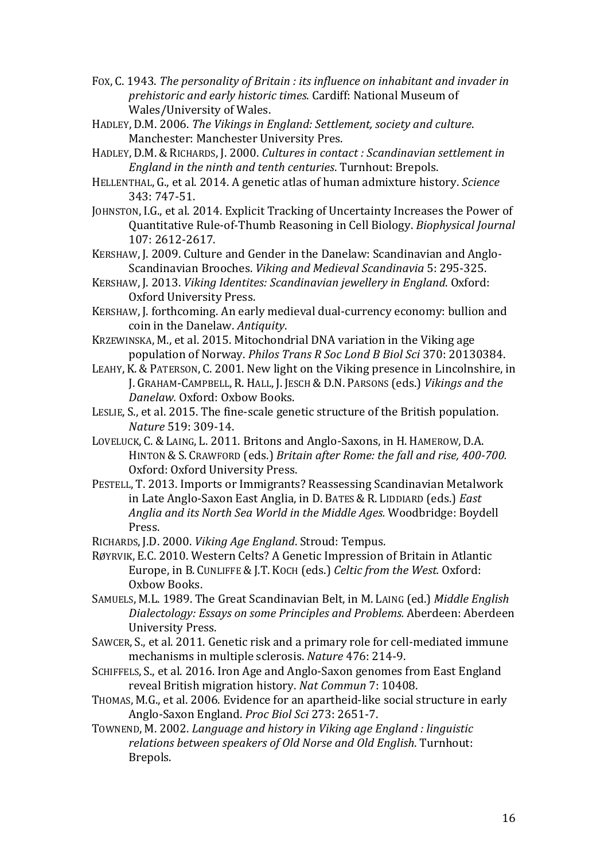- <span id="page-15-1"></span>FOX, C. 1943. *The personality of Britain : its influence on inhabitant and invader in prehistoric and early historic times*. Cardiff: National Museum of Wales/University of Wales.
- <span id="page-15-10"></span>HADLEY, D.M. 2006. *The Vikings in England: Settlement, society and culture*. Manchester: Manchester University Pres.
- <span id="page-15-14"></span>HADLEY, D.M. & RICHARDS, J. 2000. *Cultures in contact : Scandinavian settlement in England in the ninth and tenth centuries*. Turnhout: Brepols.
- <span id="page-15-6"></span>HELLENTHAL, G., et al. 2014. A genetic atlas of human admixture history. *Science* 343: 747-51.
- <span id="page-15-11"></span>JOHNSTON, I.G., et al. 2014. Explicit Tracking of Uncertainty Increases the Power of Quantitative Rule-of-Thumb Reasoning in Cell Biology. *Biophysical Journal* 107: 2612-2617.
- <span id="page-15-15"></span>KERSHAW, J. 2009. Culture and Gender in the Danelaw: Scandinavian and Anglo-Scandinavian Brooches. *Viking and Medieval Scandinavia* 5: 295-325.
- <span id="page-15-3"></span>KERSHAW, J. 2013. *Viking Identites: Scandinavian jewellery in England*. Oxford: Oxford University Press.
- <span id="page-15-17"></span>KERSHAW, J. forthcoming. An early medieval dual-currency economy: bullion and coin in the Danelaw. *Antiquity*.
- <span id="page-15-8"></span>KRZEWINSKA, M., et al. 2015. Mitochondrial DNA variation in the Viking age population of Norway. *Philos Trans R Soc Lond B Biol Sci* 370: 20130384.
- <span id="page-15-16"></span>LEAHY, K. & PATERSON, C. 2001. New light on the Viking presence in Lincolnshire, in J. GRAHAM-CAMPBELL, R. HALL, J. JESCH & D.N. PARSONS (eds.) *Vikings and the Danelaw.* Oxford: Oxbow Books.
- <span id="page-15-0"></span>LESLIE, S., et al. 2015. The fine-scale genetic structure of the British population. *Nature* 519: 309-14.
- <span id="page-15-7"></span>LOVELUCK, C. & LAING, L. 2011. Britons and Anglo-Saxons, in H. HAMEROW, D.A. HINTON & S. CRAWFORD (eds.) *Britain after Rome: the fall and rise, 400-700.* Oxford: Oxford University Press.
- <span id="page-15-18"></span>PESTELL, T. 2013. Imports or Immigrants? Reassessing Scandinavian Metalwork in Late Anglo-Saxon East Anglia, in D. BATES & R. LIDDIARD (eds.) *East Anglia and its North Sea World in the Middle Ages.* Woodbridge: Boydell Press.
- <span id="page-15-19"></span>RICHARDS, J.D. 2000. *Viking Age England*. Stroud: Tempus.
- <span id="page-15-2"></span>RØYRVIK, E.C. 2010. Western Celts? A Genetic Impression of Britain in Atlantic Europe, in B. CUNLIFFE & J.T. KOCH (eds.) *Celtic from the West.* Oxford: Oxbow Books.
- <span id="page-15-12"></span>SAMUELS, M.L. 1989. The Great Scandinavian Belt, in M. LAING (ed.) *Middle English Dialectology: Essays on some Principles and Problems.* Aberdeen: Aberdeen University Press.
- <span id="page-15-4"></span>SAWCER, S., et al. 2011. Genetic risk and a primary role for cell-mediated immune mechanisms in multiple sclerosis. *Nature* 476: 214-9.
- <span id="page-15-9"></span>SCHIFFELS, S., et al. 2016. Iron Age and Anglo-Saxon genomes from East England reveal British migration history. *Nat Commun* 7: 10408.
- <span id="page-15-5"></span>THOMAS, M.G., et al. 2006. Evidence for an apartheid-like social structure in early Anglo-Saxon England. *Proc Biol Sci* 273: 2651-7.

<span id="page-15-13"></span>TOWNEND, M. 2002. *Language and history in Viking age England : linguistic relations between speakers of Old Norse and Old English*. Turnhout: Brepols.